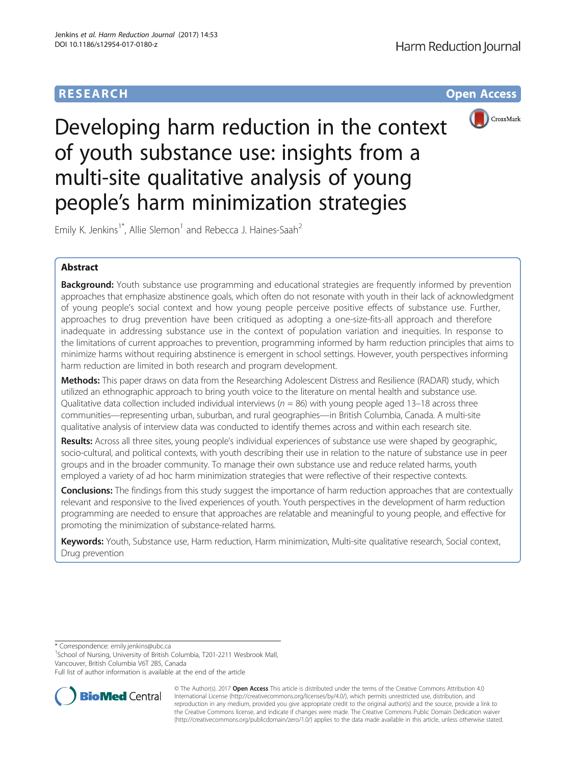# **RESEARCH CHE Open Access**



Developing harm reduction in the context of youth substance use: insights from a multi-site qualitative analysis of young people's harm minimization strategies

Emily K. Jenkins<sup>1\*</sup>, Allie Slemon<sup>1</sup> and Rebecca J. Haines-Saah<sup>2</sup>

# Abstract

**Background:** Youth substance use programming and educational strategies are frequently informed by prevention approaches that emphasize abstinence goals, which often do not resonate with youth in their lack of acknowledgment of young people's social context and how young people perceive positive effects of substance use. Further, approaches to drug prevention have been critiqued as adopting a one-size-fits-all approach and therefore inadequate in addressing substance use in the context of population variation and inequities. In response to the limitations of current approaches to prevention, programming informed by harm reduction principles that aims to minimize harms without requiring abstinence is emergent in school settings. However, youth perspectives informing harm reduction are limited in both research and program development.

Methods: This paper draws on data from the Researching Adolescent Distress and Resilience (RADAR) study, which utilized an ethnographic approach to bring youth voice to the literature on mental health and substance use. Qualitative data collection included individual interviews ( $n = 86$ ) with young people aged 13–18 across three communities—representing urban, suburban, and rural geographies—in British Columbia, Canada. A multi-site qualitative analysis of interview data was conducted to identify themes across and within each research site.

Results: Across all three sites, young people's individual experiences of substance use were shaped by geographic, socio-cultural, and political contexts, with youth describing their use in relation to the nature of substance use in peer groups and in the broader community. To manage their own substance use and reduce related harms, youth employed a variety of ad hoc harm minimization strategies that were reflective of their respective contexts.

Conclusions: The findings from this study suggest the importance of harm reduction approaches that are contextually relevant and responsive to the lived experiences of youth. Youth perspectives in the development of harm reduction programming are needed to ensure that approaches are relatable and meaningful to young people, and effective for promoting the minimization of substance-related harms.

Keywords: Youth, Substance use, Harm reduction, Harm minimization, Multi-site qualitative research, Social context, Drug prevention

\* Correspondence: [emily.jenkins@ubc.ca](mailto:emily.jenkins@ubc.ca) <sup>1</sup>

<sup>1</sup>School of Nursing, University of British Columbia, T201-2211 Wesbrook Mall, Vancouver, British Columbia V6T 2B5, Canada

Full list of author information is available at the end of the article



© The Author(s). 2017 **Open Access** This article is distributed under the terms of the Creative Commons Attribution 4.0 International License [\(http://creativecommons.org/licenses/by/4.0/](http://creativecommons.org/licenses/by/4.0/)), which permits unrestricted use, distribution, and reproduction in any medium, provided you give appropriate credit to the original author(s) and the source, provide a link to the Creative Commons license, and indicate if changes were made. The Creative Commons Public Domain Dedication waiver [\(http://creativecommons.org/publicdomain/zero/1.0/](http://creativecommons.org/publicdomain/zero/1.0/)) applies to the data made available in this article, unless otherwise stated.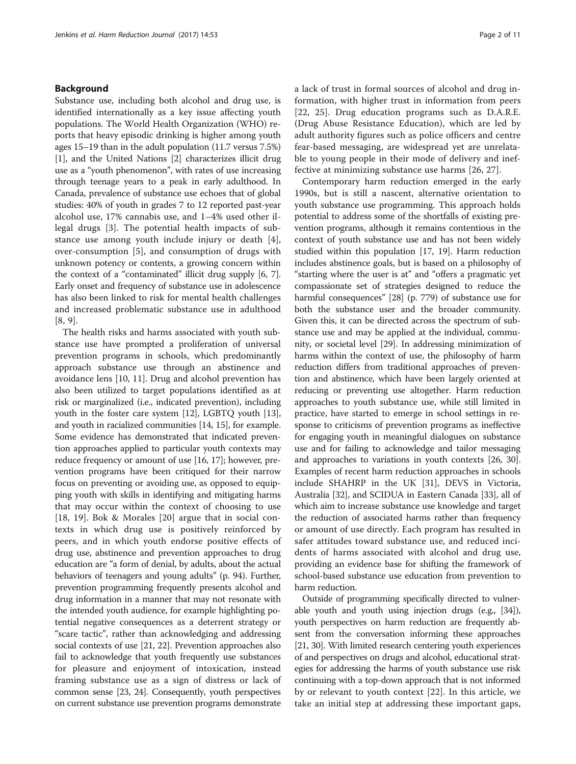# Background

Substance use, including both alcohol and drug use, is identified internationally as a key issue affecting youth populations. The World Health Organization (WHO) reports that heavy episodic drinking is higher among youth ages 15–19 than in the adult population (11.7 versus 7.5%) [[1\]](#page-9-0), and the United Nations [[2\]](#page-9-0) characterizes illicit drug use as a "youth phenomenon", with rates of use increasing through teenage years to a peak in early adulthood. In Canada, prevalence of substance use echoes that of global studies: 40% of youth in grades 7 to 12 reported past-year alcohol use, 17% cannabis use, and 1–4% used other illegal drugs [\[3](#page-9-0)]. The potential health impacts of substance use among youth include injury or death [\[4](#page-9-0)], over-consumption [\[5](#page-9-0)], and consumption of drugs with unknown potency or contents, a growing concern within the context of a "contaminated" illicit drug supply [\[6, 7](#page-9-0)]. Early onset and frequency of substance use in adolescence has also been linked to risk for mental health challenges and increased problematic substance use in adulthood [[8, 9](#page-9-0)].

The health risks and harms associated with youth substance use have prompted a proliferation of universal prevention programs in schools, which predominantly approach substance use through an abstinence and avoidance lens [\[10](#page-9-0), [11](#page-9-0)]. Drug and alcohol prevention has also been utilized to target populations identified as at risk or marginalized (i.e., indicated prevention), including youth in the foster care system [\[12](#page-9-0)], LGBTQ youth [[13](#page-9-0)], and youth in racialized communities [[14](#page-9-0), [15\]](#page-9-0), for example. Some evidence has demonstrated that indicated prevention approaches applied to particular youth contexts may reduce frequency or amount of use [[16](#page-9-0), [17\]](#page-9-0); however, prevention programs have been critiqued for their narrow focus on preventing or avoiding use, as opposed to equipping youth with skills in identifying and mitigating harms that may occur within the context of choosing to use [[18, 19](#page-9-0)]. Bok & Morales [[20\]](#page-9-0) argue that in social contexts in which drug use is positively reinforced by peers, and in which youth endorse positive effects of drug use, abstinence and prevention approaches to drug education are "a form of denial, by adults, about the actual behaviors of teenagers and young adults" (p. 94). Further, prevention programming frequently presents alcohol and drug information in a manner that may not resonate with the intended youth audience, for example highlighting potential negative consequences as a deterrent strategy or "scare tactic", rather than acknowledging and addressing social contexts of use [\[21](#page-9-0), [22\]](#page-10-0). Prevention approaches also fail to acknowledge that youth frequently use substances for pleasure and enjoyment of intoxication, instead framing substance use as a sign of distress or lack of common sense [[23](#page-10-0), [24](#page-10-0)]. Consequently, youth perspectives on current substance use prevention programs demonstrate a lack of trust in formal sources of alcohol and drug information, with higher trust in information from peers [[22, 25\]](#page-10-0). Drug education programs such as D.A.R.E. (Drug Abuse Resistance Education), which are led by adult authority figures such as police officers and centre fear-based messaging, are widespread yet are unrelatable to young people in their mode of delivery and ineffective at minimizing substance use harms [[26, 27](#page-10-0)].

Contemporary harm reduction emerged in the early 1990s, but is still a nascent, alternative orientation to youth substance use programming. This approach holds potential to address some of the shortfalls of existing prevention programs, although it remains contentious in the context of youth substance use and has not been widely studied within this population [\[17, 19\]](#page-9-0). Harm reduction includes abstinence goals, but is based on a philosophy of "starting where the user is at" and "offers a pragmatic yet compassionate set of strategies designed to reduce the harmful consequences" [\[28\]](#page-10-0) (p. 779) of substance use for both the substance user and the broader community. Given this, it can be directed across the spectrum of substance use and may be applied at the individual, community, or societal level [[29](#page-10-0)]. In addressing minimization of harms within the context of use, the philosophy of harm reduction differs from traditional approaches of prevention and abstinence, which have been largely oriented at reducing or preventing use altogether. Harm reduction approaches to youth substance use, while still limited in practice, have started to emerge in school settings in response to criticisms of prevention programs as ineffective for engaging youth in meaningful dialogues on substance use and for failing to acknowledge and tailor messaging and approaches to variations in youth contexts [[26](#page-10-0), [30](#page-10-0)]. Examples of recent harm reduction approaches in schools include SHAHRP in the UK [[31](#page-10-0)], DEVS in Victoria, Australia [[32](#page-10-0)], and SCIDUA in Eastern Canada [[33](#page-10-0)], all of which aim to increase substance use knowledge and target the reduction of associated harms rather than frequency or amount of use directly. Each program has resulted in safer attitudes toward substance use, and reduced incidents of harms associated with alcohol and drug use, providing an evidence base for shifting the framework of school-based substance use education from prevention to harm reduction.

Outside of programming specifically directed to vulnerable youth and youth using injection drugs (e.g., [[34](#page-10-0)]), youth perspectives on harm reduction are frequently absent from the conversation informing these approaches [[21](#page-9-0), [30](#page-10-0)]. With limited research centering youth experiences of and perspectives on drugs and alcohol, educational strategies for addressing the harms of youth substance use risk continuing with a top-down approach that is not informed by or relevant to youth context [[22](#page-10-0)]. In this article, we take an initial step at addressing these important gaps,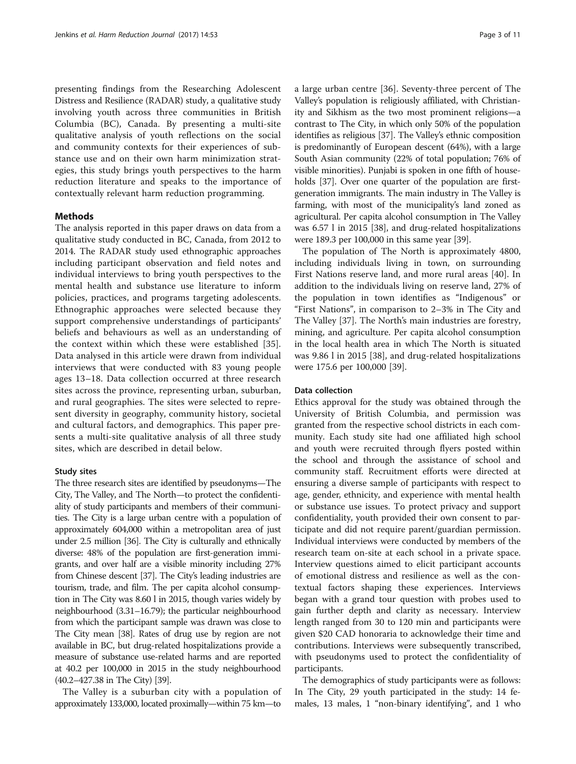presenting findings from the Researching Adolescent Distress and Resilience (RADAR) study, a qualitative study involving youth across three communities in British Columbia (BC), Canada. By presenting a multi-site qualitative analysis of youth reflections on the social and community contexts for their experiences of substance use and on their own harm minimization strategies, this study brings youth perspectives to the harm reduction literature and speaks to the importance of contextually relevant harm reduction programming.

### Methods

The analysis reported in this paper draws on data from a qualitative study conducted in BC, Canada, from 2012 to 2014. The RADAR study used ethnographic approaches including participant observation and field notes and individual interviews to bring youth perspectives to the mental health and substance use literature to inform policies, practices, and programs targeting adolescents. Ethnographic approaches were selected because they support comprehensive understandings of participants' beliefs and behaviours as well as an understanding of the context within which these were established [\[35](#page-10-0)]. Data analysed in this article were drawn from individual interviews that were conducted with 83 young people ages 13–18. Data collection occurred at three research sites across the province, representing urban, suburban, and rural geographies. The sites were selected to represent diversity in geography, community history, societal and cultural factors, and demographics. This paper presents a multi-site qualitative analysis of all three study sites, which are described in detail below.

### Study sites

The three research sites are identified by pseudonyms—The City, The Valley, and The North—to protect the confidentiality of study participants and members of their communities. The City is a large urban centre with a population of approximately 604,000 within a metropolitan area of just under 2.5 million [\[36\]](#page-10-0). The City is culturally and ethnically diverse: 48% of the population are first-generation immigrants, and over half are a visible minority including 27% from Chinese descent [\[37](#page-10-0)]. The City's leading industries are tourism, trade, and film. The per capita alcohol consumption in The City was 8.60 l in 2015, though varies widely by neighbourhood (3.31–16.79); the particular neighbourhood from which the participant sample was drawn was close to The City mean [\[38](#page-10-0)]. Rates of drug use by region are not available in BC, but drug-related hospitalizations provide a measure of substance use-related harms and are reported at 40.2 per 100,000 in 2015 in the study neighbourhood (40.2–427.38 in The City) [\[39](#page-10-0)].

The Valley is a suburban city with a population of approximately 133,000, located proximally—within 75 km—to a large urban centre [[36\]](#page-10-0). Seventy-three percent of The Valley's population is religiously affiliated, with Christianity and Sikhism as the two most prominent religions—a contrast to The City, in which only 50% of the population identifies as religious [\[37\]](#page-10-0). The Valley's ethnic composition is predominantly of European descent (64%), with a large South Asian community (22% of total population; 76% of visible minorities). Punjabi is spoken in one fifth of house-holds [\[37\]](#page-10-0). Over one quarter of the population are firstgeneration immigrants. The main industry in The Valley is farming, with most of the municipality's land zoned as agricultural. Per capita alcohol consumption in The Valley was 6.57 l in 2015 [[38](#page-10-0)], and drug-related hospitalizations were 189.3 per 100,000 in this same year [\[39](#page-10-0)].

The population of The North is approximately 4800, including individuals living in town, on surrounding First Nations reserve land, and more rural areas [\[40](#page-10-0)]. In addition to the individuals living on reserve land, 27% of the population in town identifies as "Indigenous" or "First Nations", in comparison to 2–3% in The City and The Valley [[37\]](#page-10-0). The North's main industries are forestry, mining, and agriculture. Per capita alcohol consumption in the local health area in which The North is situated was 9.86 l in 2015 [\[38](#page-10-0)], and drug-related hospitalizations were 175.6 per 100,000 [[39](#page-10-0)].

### Data collection

Ethics approval for the study was obtained through the University of British Columbia, and permission was granted from the respective school districts in each community. Each study site had one affiliated high school and youth were recruited through flyers posted within the school and through the assistance of school and community staff. Recruitment efforts were directed at ensuring a diverse sample of participants with respect to age, gender, ethnicity, and experience with mental health or substance use issues. To protect privacy and support confidentiality, youth provided their own consent to participate and did not require parent/guardian permission. Individual interviews were conducted by members of the research team on-site at each school in a private space. Interview questions aimed to elicit participant accounts of emotional distress and resilience as well as the contextual factors shaping these experiences. Interviews began with a grand tour question with probes used to gain further depth and clarity as necessary. Interview length ranged from 30 to 120 min and participants were given \$20 CAD honoraria to acknowledge their time and contributions. Interviews were subsequently transcribed, with pseudonyms used to protect the confidentiality of participants.

The demographics of study participants were as follows: In The City, 29 youth participated in the study: 14 females, 13 males, 1 "non-binary identifying", and 1 who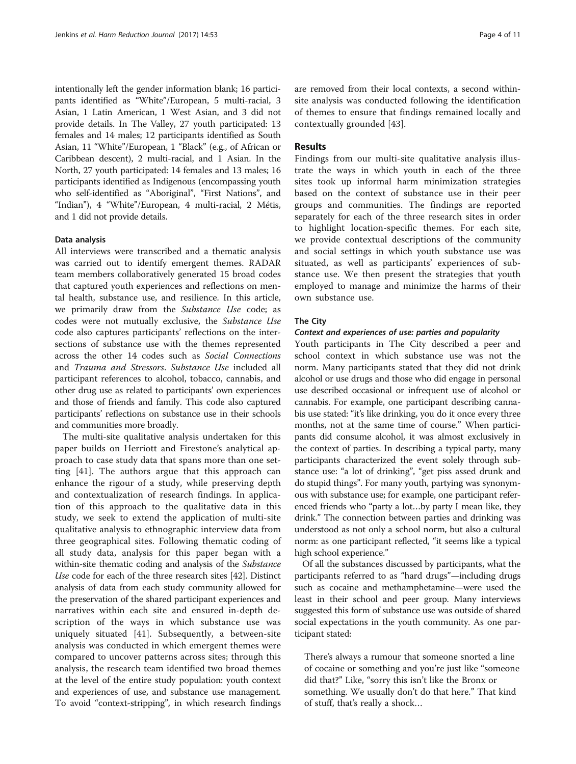intentionally left the gender information blank; 16 participants identified as "White"/European, 5 multi-racial, 3 Asian, 1 Latin American, 1 West Asian, and 3 did not provide details. In The Valley, 27 youth participated: 13 females and 14 males; 12 participants identified as South Asian, 11 "White"/European, 1 "Black" (e.g., of African or Caribbean descent), 2 multi-racial, and 1 Asian. In the North, 27 youth participated: 14 females and 13 males; 16 participants identified as Indigenous (encompassing youth who self-identified as "Aboriginal", "First Nations", and "Indian"), 4 "White"/European, 4 multi-racial, 2 Métis, and 1 did not provide details.

# Data analysis

All interviews were transcribed and a thematic analysis was carried out to identify emergent themes. RADAR team members collaboratively generated 15 broad codes that captured youth experiences and reflections on mental health, substance use, and resilience. In this article, we primarily draw from the Substance Use code; as codes were not mutually exclusive, the Substance Use code also captures participants' reflections on the intersections of substance use with the themes represented across the other 14 codes such as Social Connections and Trauma and Stressors. Substance Use included all participant references to alcohol, tobacco, cannabis, and other drug use as related to participants' own experiences and those of friends and family. This code also captured participants' reflections on substance use in their schools and communities more broadly.

The multi-site qualitative analysis undertaken for this paper builds on Herriott and Firestone's analytical approach to case study data that spans more than one setting [[41\]](#page-10-0). The authors argue that this approach can enhance the rigour of a study, while preserving depth and contextualization of research findings. In application of this approach to the qualitative data in this study, we seek to extend the application of multi-site qualitative analysis to ethnographic interview data from three geographical sites. Following thematic coding of all study data, analysis for this paper began with a within-site thematic coding and analysis of the Substance Use code for each of the three research sites [\[42\]](#page-10-0). Distinct analysis of data from each study community allowed for the preservation of the shared participant experiences and narratives within each site and ensured in-depth description of the ways in which substance use was uniquely situated [[41\]](#page-10-0). Subsequently, a between-site analysis was conducted in which emergent themes were compared to uncover patterns across sites; through this analysis, the research team identified two broad themes at the level of the entire study population: youth context and experiences of use, and substance use management. To avoid "context-stripping", in which research findings are removed from their local contexts, a second withinsite analysis was conducted following the identification of themes to ensure that findings remained locally and contextually grounded [\[43](#page-10-0)].

# Results

Findings from our multi-site qualitative analysis illustrate the ways in which youth in each of the three sites took up informal harm minimization strategies based on the context of substance use in their peer groups and communities. The findings are reported separately for each of the three research sites in order to highlight location-specific themes. For each site, we provide contextual descriptions of the community and social settings in which youth substance use was situated, as well as participants' experiences of substance use. We then present the strategies that youth employed to manage and minimize the harms of their own substance use.

## The City

### Context and experiences of use: parties and popularity

Youth participants in The City described a peer and school context in which substance use was not the norm. Many participants stated that they did not drink alcohol or use drugs and those who did engage in personal use described occasional or infrequent use of alcohol or cannabis. For example, one participant describing cannabis use stated: "it's like drinking, you do it once every three months, not at the same time of course." When participants did consume alcohol, it was almost exclusively in the context of parties. In describing a typical party, many participants characterized the event solely through substance use: "a lot of drinking", "get piss assed drunk and do stupid things". For many youth, partying was synonymous with substance use; for example, one participant referenced friends who "party a lot…by party I mean like, they drink." The connection between parties and drinking was understood as not only a school norm, but also a cultural norm: as one participant reflected, "it seems like a typical high school experience."

Of all the substances discussed by participants, what the participants referred to as "hard drugs"—including drugs such as cocaine and methamphetamine—were used the least in their school and peer group. Many interviews suggested this form of substance use was outside of shared social expectations in the youth community. As one participant stated:

There's always a rumour that someone snorted a line of cocaine or something and you're just like "someone did that?" Like, "sorry this isn't like the Bronx or something. We usually don't do that here." That kind of stuff, that's really a shock…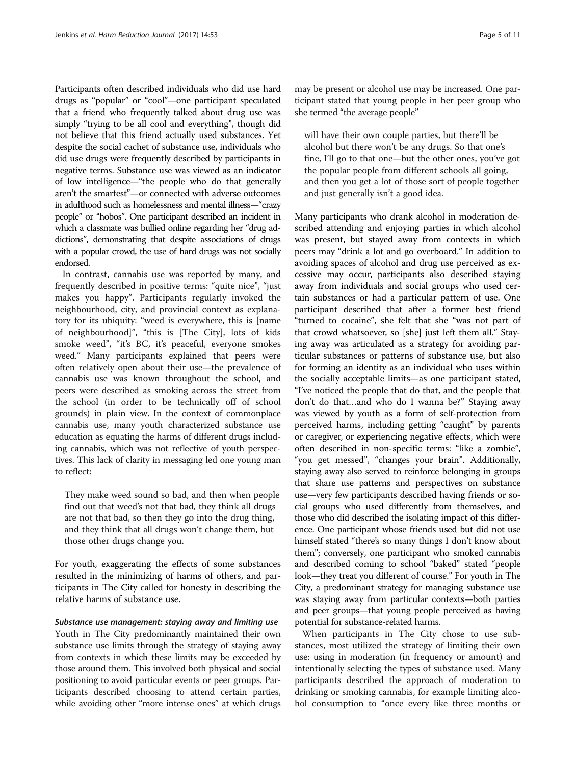Participants often described individuals who did use hard drugs as "popular" or "cool"—one participant speculated that a friend who frequently talked about drug use was simply "trying to be all cool and everything", though did not believe that this friend actually used substances. Yet despite the social cachet of substance use, individuals who did use drugs were frequently described by participants in negative terms. Substance use was viewed as an indicator of low intelligence—"the people who do that generally aren't the smartest"—or connected with adverse outcomes in adulthood such as homelessness and mental illness—"crazy people" or "hobos". One participant described an incident in which a classmate was bullied online regarding her "drug addictions", demonstrating that despite associations of drugs with a popular crowd, the use of hard drugs was not socially endorsed.

In contrast, cannabis use was reported by many, and frequently described in positive terms: "quite nice", "just makes you happy". Participants regularly invoked the neighbourhood, city, and provincial context as explanatory for its ubiquity: "weed is everywhere, this is [name of neighbourhood]", "this is [The City], lots of kids smoke weed", "it's BC, it's peaceful, everyone smokes weed." Many participants explained that peers were often relatively open about their use—the prevalence of cannabis use was known throughout the school, and peers were described as smoking across the street from the school (in order to be technically off of school grounds) in plain view. In the context of commonplace cannabis use, many youth characterized substance use education as equating the harms of different drugs including cannabis, which was not reflective of youth perspectives. This lack of clarity in messaging led one young man to reflect:

They make weed sound so bad, and then when people find out that weed's not that bad, they think all drugs are not that bad, so then they go into the drug thing, and they think that all drugs won't change them, but those other drugs change you.

For youth, exaggerating the effects of some substances resulted in the minimizing of harms of others, and participants in The City called for honesty in describing the relative harms of substance use.

Substance use management: staying away and limiting use Youth in The City predominantly maintained their own substance use limits through the strategy of staying away from contexts in which these limits may be exceeded by those around them. This involved both physical and social positioning to avoid particular events or peer groups. Participants described choosing to attend certain parties, while avoiding other "more intense ones" at which drugs may be present or alcohol use may be increased. One participant stated that young people in her peer group who she termed "the average people"

will have their own couple parties, but there'll be alcohol but there won't be any drugs. So that one's fine, I'll go to that one—but the other ones, you've got the popular people from different schools all going, and then you get a lot of those sort of people together and just generally isn't a good idea.

Many participants who drank alcohol in moderation described attending and enjoying parties in which alcohol was present, but stayed away from contexts in which peers may "drink a lot and go overboard." In addition to avoiding spaces of alcohol and drug use perceived as excessive may occur, participants also described staying away from individuals and social groups who used certain substances or had a particular pattern of use. One participant described that after a former best friend "turned to cocaine", she felt that she "was not part of that crowd whatsoever, so [she] just left them all." Staying away was articulated as a strategy for avoiding particular substances or patterns of substance use, but also for forming an identity as an individual who uses within the socially acceptable limits—as one participant stated, "I've noticed the people that do that, and the people that don't do that…and who do I wanna be?" Staying away was viewed by youth as a form of self-protection from perceived harms, including getting "caught" by parents or caregiver, or experiencing negative effects, which were often described in non-specific terms: "like a zombie", "you get messed", "changes your brain". Additionally, staying away also served to reinforce belonging in groups that share use patterns and perspectives on substance use—very few participants described having friends or social groups who used differently from themselves, and those who did described the isolating impact of this difference. One participant whose friends used but did not use himself stated "there's so many things I don't know about them"; conversely, one participant who smoked cannabis and described coming to school "baked" stated "people look—they treat you different of course." For youth in The City, a predominant strategy for managing substance use was staying away from particular contexts—both parties and peer groups—that young people perceived as having potential for substance-related harms.

When participants in The City chose to use substances, most utilized the strategy of limiting their own use: using in moderation (in frequency or amount) and intentionally selecting the types of substance used. Many participants described the approach of moderation to drinking or smoking cannabis, for example limiting alcohol consumption to "once every like three months or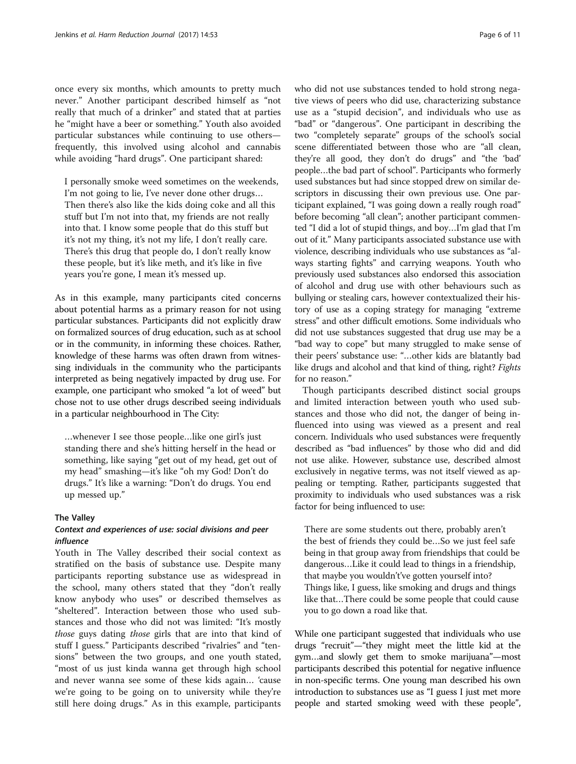once every six months, which amounts to pretty much never." Another participant described himself as "not really that much of a drinker" and stated that at parties he "might have a beer or something." Youth also avoided particular substances while continuing to use others frequently, this involved using alcohol and cannabis while avoiding "hard drugs". One participant shared:

I personally smoke weed sometimes on the weekends, I'm not going to lie, I've never done other drugs… Then there's also like the kids doing coke and all this stuff but I'm not into that, my friends are not really into that. I know some people that do this stuff but it's not my thing, it's not my life, I don't really care. There's this drug that people do, I don't really know these people, but it's like meth, and it's like in five years you're gone, I mean it's messed up.

As in this example, many participants cited concerns about potential harms as a primary reason for not using particular substances. Participants did not explicitly draw on formalized sources of drug education, such as at school or in the community, in informing these choices. Rather, knowledge of these harms was often drawn from witnessing individuals in the community who the participants interpreted as being negatively impacted by drug use. For example, one participant who smoked "a lot of weed" but chose not to use other drugs described seeing individuals in a particular neighbourhood in The City:

…whenever I see those people…like one girl's just standing there and she's hitting herself in the head or something, like saying "get out of my head, get out of my head" smashing—it's like "oh my God! Don't do drugs." It's like a warning: "Don't do drugs. You end up messed up."

# The Valley

# Context and experiences of use: social divisions and peer influence

Youth in The Valley described their social context as stratified on the basis of substance use. Despite many participants reporting substance use as widespread in the school, many others stated that they "don't really know anybody who uses" or described themselves as "sheltered". Interaction between those who used substances and those who did not was limited: "It's mostly those guys dating those girls that are into that kind of stuff I guess." Participants described "rivalries" and "tensions" between the two groups, and one youth stated, "most of us just kinda wanna get through high school and never wanna see some of these kids again… 'cause we're going to be going on to university while they're still here doing drugs." As in this example, participants

who did not use substances tended to hold strong negative views of peers who did use, characterizing substance use as a "stupid decision", and individuals who use as "bad" or "dangerous". One participant in describing the two "completely separate" groups of the school's social scene differentiated between those who are "all clean, they're all good, they don't do drugs" and "the 'bad' people…the bad part of school". Participants who formerly used substances but had since stopped drew on similar descriptors in discussing their own previous use. One participant explained, "I was going down a really rough road" before becoming "all clean"; another participant commented "I did a lot of stupid things, and boy…I'm glad that I'm out of it." Many participants associated substance use with violence, describing individuals who use substances as "always starting fights" and carrying weapons. Youth who previously used substances also endorsed this association of alcohol and drug use with other behaviours such as bullying or stealing cars, however contextualized their history of use as a coping strategy for managing "extreme stress" and other difficult emotions. Some individuals who did not use substances suggested that drug use may be a "bad way to cope" but many struggled to make sense of their peers' substance use: "…other kids are blatantly bad like drugs and alcohol and that kind of thing, right? Fights for no reason."

Though participants described distinct social groups and limited interaction between youth who used substances and those who did not, the danger of being influenced into using was viewed as a present and real concern. Individuals who used substances were frequently described as "bad influences" by those who did and did not use alike. However, substance use, described almost exclusively in negative terms, was not itself viewed as appealing or tempting. Rather, participants suggested that proximity to individuals who used substances was a risk factor for being influenced to use:

There are some students out there, probably aren't the best of friends they could be…So we just feel safe being in that group away from friendships that could be dangerous…Like it could lead to things in a friendship, that maybe you wouldn't've gotten yourself into? Things like, I guess, like smoking and drugs and things like that…There could be some people that could cause you to go down a road like that.

While one participant suggested that individuals who use drugs "recruit"—"they might meet the little kid at the gym…and slowly get them to smoke marijuana"—most participants described this potential for negative influence in non-specific terms. One young man described his own introduction to substances use as "I guess I just met more people and started smoking weed with these people",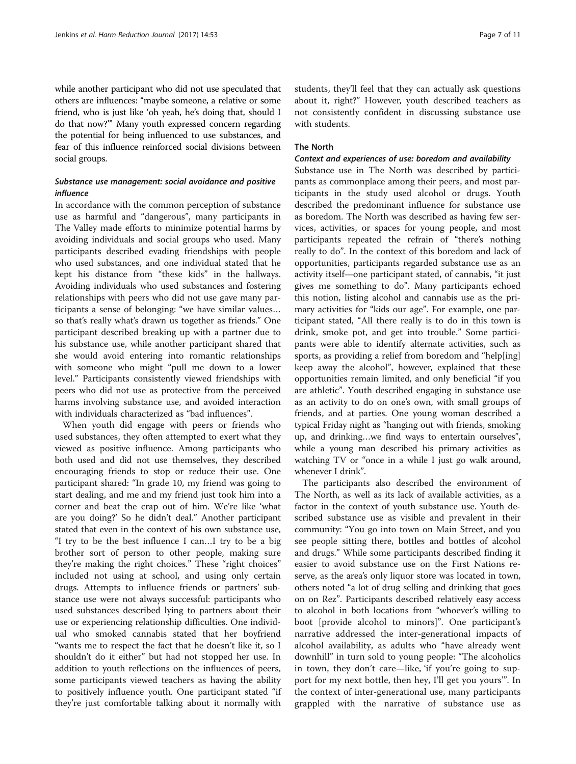while another participant who did not use speculated that others are influences: "maybe someone, a relative or some friend, who is just like 'oh yeah, he's doing that, should I do that now?'" Many youth expressed concern regarding the potential for being influenced to use substances, and fear of this influence reinforced social divisions between social groups.

# Substance use management: social avoidance and positive influence

In accordance with the common perception of substance use as harmful and "dangerous", many participants in The Valley made efforts to minimize potential harms by avoiding individuals and social groups who used. Many participants described evading friendships with people who used substances, and one individual stated that he kept his distance from "these kids" in the hallways. Avoiding individuals who used substances and fostering relationships with peers who did not use gave many participants a sense of belonging: "we have similar values… so that's really what's drawn us together as friends." One participant described breaking up with a partner due to his substance use, while another participant shared that she would avoid entering into romantic relationships with someone who might "pull me down to a lower level." Participants consistently viewed friendships with peers who did not use as protective from the perceived harms involving substance use, and avoided interaction with individuals characterized as "bad influences".

When youth did engage with peers or friends who used substances, they often attempted to exert what they viewed as positive influence. Among participants who both used and did not use themselves, they described encouraging friends to stop or reduce their use. One participant shared: "In grade 10, my friend was going to start dealing, and me and my friend just took him into a corner and beat the crap out of him. We're like 'what are you doing?' So he didn't deal." Another participant stated that even in the context of his own substance use, "I try to be the best influence I can…I try to be a big brother sort of person to other people, making sure they're making the right choices." These "right choices" included not using at school, and using only certain drugs. Attempts to influence friends or partners' substance use were not always successful: participants who used substances described lying to partners about their use or experiencing relationship difficulties. One individual who smoked cannabis stated that her boyfriend "wants me to respect the fact that he doesn't like it, so I shouldn't do it either" but had not stopped her use. In addition to youth reflections on the influences of peers, some participants viewed teachers as having the ability to positively influence youth. One participant stated "if they're just comfortable talking about it normally with students, they'll feel that they can actually ask questions about it, right?" However, youth described teachers as not consistently confident in discussing substance use with students.

# The North

# Context and experiences of use: boredom and availability

Substance use in The North was described by participants as commonplace among their peers, and most participants in the study used alcohol or drugs. Youth described the predominant influence for substance use as boredom. The North was described as having few services, activities, or spaces for young people, and most participants repeated the refrain of "there's nothing really to do". In the context of this boredom and lack of opportunities, participants regarded substance use as an activity itself—one participant stated, of cannabis, "it just gives me something to do". Many participants echoed this notion, listing alcohol and cannabis use as the primary activities for "kids our age". For example, one participant stated, "All there really is to do in this town is drink, smoke pot, and get into trouble." Some participants were able to identify alternate activities, such as sports, as providing a relief from boredom and "help[ing] keep away the alcohol", however, explained that these opportunities remain limited, and only beneficial "if you are athletic". Youth described engaging in substance use as an activity to do on one's own, with small groups of friends, and at parties. One young woman described a typical Friday night as "hanging out with friends, smoking up, and drinking…we find ways to entertain ourselves", while a young man described his primary activities as watching TV or "once in a while I just go walk around, whenever I drink".

The participants also described the environment of The North, as well as its lack of available activities, as a factor in the context of youth substance use. Youth described substance use as visible and prevalent in their community: "You go into town on Main Street, and you see people sitting there, bottles and bottles of alcohol and drugs." While some participants described finding it easier to avoid substance use on the First Nations reserve, as the area's only liquor store was located in town, others noted "a lot of drug selling and drinking that goes on on Rez". Participants described relatively easy access to alcohol in both locations from "whoever's willing to boot [provide alcohol to minors]". One participant's narrative addressed the inter-generational impacts of alcohol availability, as adults who "have already went downhill" in turn sold to young people: "The alcoholics in town, they don't care—like, 'if you're going to support for my next bottle, then hey, I'll get you yours'". In the context of inter-generational use, many participants grappled with the narrative of substance use as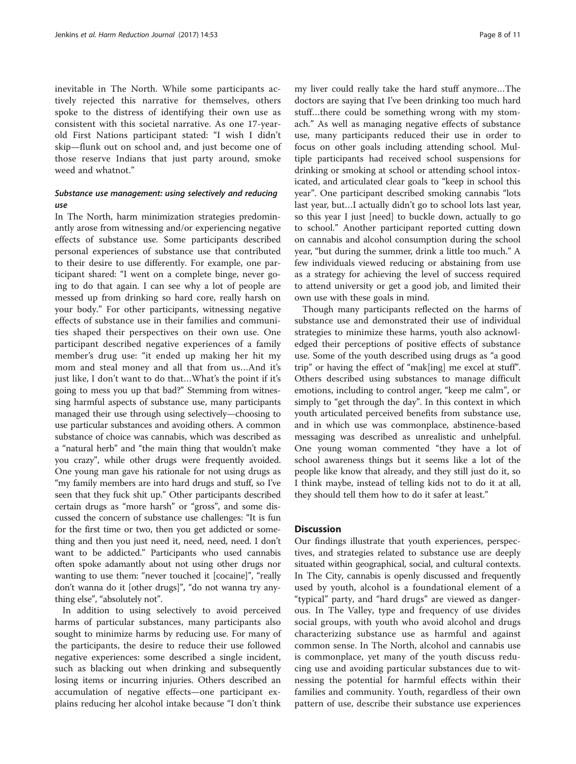inevitable in The North. While some participants actively rejected this narrative for themselves, others spoke to the distress of identifying their own use as consistent with this societal narrative. As one 17-yearold First Nations participant stated: "I wish I didn't skip—flunk out on school and, and just become one of those reserve Indians that just party around, smoke weed and whatnot."

# Substance use management: using selectively and reducing use

In The North, harm minimization strategies predominantly arose from witnessing and/or experiencing negative effects of substance use. Some participants described personal experiences of substance use that contributed to their desire to use differently. For example, one participant shared: "I went on a complete binge, never going to do that again. I can see why a lot of people are messed up from drinking so hard core, really harsh on your body." For other participants, witnessing negative effects of substance use in their families and communities shaped their perspectives on their own use. One participant described negative experiences of a family member's drug use: "it ended up making her hit my mom and steal money and all that from us…And it's just like, I don't want to do that…What's the point if it's going to mess you up that bad?" Stemming from witnessing harmful aspects of substance use, many participants managed their use through using selectively—choosing to use particular substances and avoiding others. A common substance of choice was cannabis, which was described as a "natural herb" and "the main thing that wouldn't make you crazy", while other drugs were frequently avoided. One young man gave his rationale for not using drugs as "my family members are into hard drugs and stuff, so I've seen that they fuck shit up." Other participants described certain drugs as "more harsh" or "gross", and some discussed the concern of substance use challenges: "It is fun for the first time or two, then you get addicted or something and then you just need it, need, need, need. I don't want to be addicted." Participants who used cannabis often spoke adamantly about not using other drugs nor wanting to use them: "never touched it [cocaine]", "really don't wanna do it [other drugs]", "do not wanna try anything else", "absolutely not".

In addition to using selectively to avoid perceived harms of particular substances, many participants also sought to minimize harms by reducing use. For many of the participants, the desire to reduce their use followed negative experiences: some described a single incident, such as blacking out when drinking and subsequently losing items or incurring injuries. Others described an accumulation of negative effects—one participant explains reducing her alcohol intake because "I don't think my liver could really take the hard stuff anymore…The doctors are saying that I've been drinking too much hard stuff…there could be something wrong with my stomach." As well as managing negative effects of substance use, many participants reduced their use in order to focus on other goals including attending school. Multiple participants had received school suspensions for drinking or smoking at school or attending school intoxicated, and articulated clear goals to "keep in school this year". One participant described smoking cannabis "lots last year, but…I actually didn't go to school lots last year, so this year I just [need] to buckle down, actually to go to school." Another participant reported cutting down on cannabis and alcohol consumption during the school year, "but during the summer, drink a little too much." A few individuals viewed reducing or abstaining from use as a strategy for achieving the level of success required to attend university or get a good job, and limited their own use with these goals in mind.

Though many participants reflected on the harms of substance use and demonstrated their use of individual strategies to minimize these harms, youth also acknowledged their perceptions of positive effects of substance use. Some of the youth described using drugs as "a good trip" or having the effect of "mak[ing] me excel at stuff". Others described using substances to manage difficult emotions, including to control anger, "keep me calm", or simply to "get through the day". In this context in which youth articulated perceived benefits from substance use, and in which use was commonplace, abstinence-based messaging was described as unrealistic and unhelpful. One young woman commented "they have a lot of school awareness things but it seems like a lot of the people like know that already, and they still just do it, so I think maybe, instead of telling kids not to do it at all, they should tell them how to do it safer at least."

### **Discussion**

Our findings illustrate that youth experiences, perspectives, and strategies related to substance use are deeply situated within geographical, social, and cultural contexts. In The City, cannabis is openly discussed and frequently used by youth, alcohol is a foundational element of a "typical" party, and "hard drugs" are viewed as dangerous. In The Valley, type and frequency of use divides social groups, with youth who avoid alcohol and drugs characterizing substance use as harmful and against common sense. In The North, alcohol and cannabis use is commonplace, yet many of the youth discuss reducing use and avoiding particular substances due to witnessing the potential for harmful effects within their families and community. Youth, regardless of their own pattern of use, describe their substance use experiences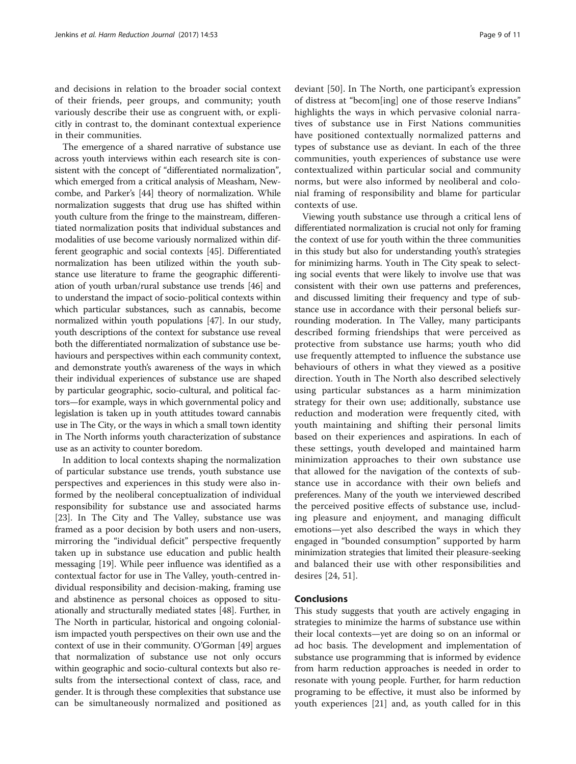and decisions in relation to the broader social context of their friends, peer groups, and community; youth variously describe their use as congruent with, or explicitly in contrast to, the dominant contextual experience in their communities.

The emergence of a shared narrative of substance use across youth interviews within each research site is consistent with the concept of "differentiated normalization", which emerged from a critical analysis of Measham, Newcombe, and Parker's [\[44](#page-10-0)] theory of normalization. While normalization suggests that drug use has shifted within youth culture from the fringe to the mainstream, differentiated normalization posits that individual substances and modalities of use become variously normalized within different geographic and social contexts [[45](#page-10-0)]. Differentiated normalization has been utilized within the youth substance use literature to frame the geographic differentiation of youth urban/rural substance use trends [\[46\]](#page-10-0) and to understand the impact of socio-political contexts within which particular substances, such as cannabis, become normalized within youth populations [[47\]](#page-10-0). In our study, youth descriptions of the context for substance use reveal both the differentiated normalization of substance use behaviours and perspectives within each community context, and demonstrate youth's awareness of the ways in which their individual experiences of substance use are shaped by particular geographic, socio-cultural, and political factors—for example, ways in which governmental policy and legislation is taken up in youth attitudes toward cannabis use in The City, or the ways in which a small town identity in The North informs youth characterization of substance use as an activity to counter boredom.

In addition to local contexts shaping the normalization of particular substance use trends, youth substance use perspectives and experiences in this study were also informed by the neoliberal conceptualization of individual responsibility for substance use and associated harms [[23\]](#page-10-0). In The City and The Valley, substance use was framed as a poor decision by both users and non-users, mirroring the "individual deficit" perspective frequently taken up in substance use education and public health messaging [\[19](#page-9-0)]. While peer influence was identified as a contextual factor for use in The Valley, youth-centred individual responsibility and decision-making, framing use and abstinence as personal choices as opposed to situationally and structurally mediated states [[48](#page-10-0)]. Further, in The North in particular, historical and ongoing colonialism impacted youth perspectives on their own use and the context of use in their community. O'Gorman [\[49\]](#page-10-0) argues that normalization of substance use not only occurs within geographic and socio-cultural contexts but also results from the intersectional context of class, race, and gender. It is through these complexities that substance use can be simultaneously normalized and positioned as deviant [[50\]](#page-10-0). In The North, one participant's expression of distress at "becom[ing] one of those reserve Indians" highlights the ways in which pervasive colonial narratives of substance use in First Nations communities have positioned contextually normalized patterns and types of substance use as deviant. In each of the three communities, youth experiences of substance use were contextualized within particular social and community norms, but were also informed by neoliberal and colonial framing of responsibility and blame for particular contexts of use.

Viewing youth substance use through a critical lens of differentiated normalization is crucial not only for framing the context of use for youth within the three communities in this study but also for understanding youth's strategies for minimizing harms. Youth in The City speak to selecting social events that were likely to involve use that was consistent with their own use patterns and preferences, and discussed limiting their frequency and type of substance use in accordance with their personal beliefs surrounding moderation. In The Valley, many participants described forming friendships that were perceived as protective from substance use harms; youth who did use frequently attempted to influence the substance use behaviours of others in what they viewed as a positive direction. Youth in The North also described selectively using particular substances as a harm minimization strategy for their own use; additionally, substance use reduction and moderation were frequently cited, with youth maintaining and shifting their personal limits based on their experiences and aspirations. In each of these settings, youth developed and maintained harm minimization approaches to their own substance use that allowed for the navigation of the contexts of substance use in accordance with their own beliefs and preferences. Many of the youth we interviewed described the perceived positive effects of substance use, including pleasure and enjoyment, and managing difficult emotions—yet also described the ways in which they engaged in "bounded consumption" supported by harm minimization strategies that limited their pleasure-seeking and balanced their use with other responsibilities and desires [\[24](#page-10-0), [51\]](#page-10-0).

# Conclusions

This study suggests that youth are actively engaging in strategies to minimize the harms of substance use within their local contexts—yet are doing so on an informal or ad hoc basis. The development and implementation of substance use programming that is informed by evidence from harm reduction approaches is needed in order to resonate with young people. Further, for harm reduction programing to be effective, it must also be informed by youth experiences [[21](#page-9-0)] and, as youth called for in this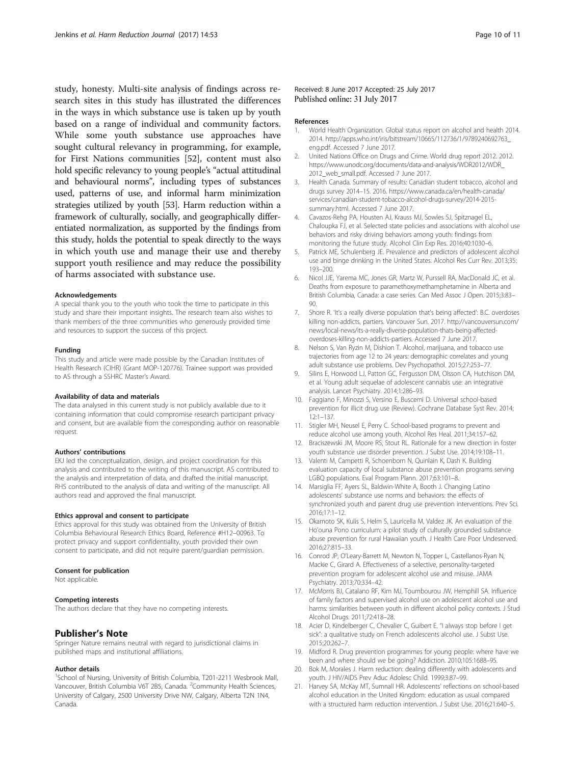<span id="page-9-0"></span>study, honesty. Multi-site analysis of findings across research sites in this study has illustrated the differences in the ways in which substance use is taken up by youth based on a range of individual and community factors. While some youth substance use approaches have sought cultural relevancy in programming, for example, for First Nations communities [[52\]](#page-10-0), content must also hold specific relevancy to young people's "actual attitudinal and behavioural norms", including types of substances used, patterns of use, and informal harm minimization strategies utilized by youth [\[53\]](#page-10-0). Harm reduction within a framework of culturally, socially, and geographically differentiated normalization, as supported by the findings from this study, holds the potential to speak directly to the ways in which youth use and manage their use and thereby support youth resilience and may reduce the possibility of harms associated with substance use.

### Acknowledgements

A special thank you to the youth who took the time to participate in this study and share their important insights. The research team also wishes to thank members of the three communities who generously provided time and resources to support the success of this project.

#### Funding

This study and article were made possible by the Canadian Institutes of Health Research (CIHR) (Grant MOP-120776). Trainee support was provided to AS through a SSHRC Master's Award.

#### Availability of data and materials

The data analysed in this current study is not publicly available due to it containing information that could compromise research participant privacy and consent, but are available from the corresponding author on reasonable request.

#### Authors' contributions

EKJ led the conceptualization, design, and project coordination for this analysis and contributed to the writing of this manuscript. AS contributed to the analysis and interpretation of data, and drafted the initial manuscript. RHS contributed to the analysis of data and writing of the manuscript. All authors read and approved the final manuscript.

#### Ethics approval and consent to participate

Ethics approval for this study was obtained from the University of British Columbia Behavioural Research Ethics Board, Reference #H12–00963. To protect privacy and support confidentiality, youth provided their own consent to participate, and did not require parent/guardian permission.

#### Consent for publication

Not applicable.

### Competing interests

The authors declare that they have no competing interests.

### Publisher's Note

Springer Nature remains neutral with regard to jurisdictional claims in published maps and institutional affiliations.

### Author details

<sup>1</sup>School of Nursing, University of British Columbia, T201-2211 Wesbrook Mall, Vancouver, British Columbia V6T 2B5, Canada. <sup>2</sup>Community Health Sciences, University of Calgary, 2500 University Drive NW, Calgary, Alberta T2N 1N4, Canada.

### Received: 8 June 2017 Accepted: 25 July 2017 Published online: 31 July 2017

#### References

- 1. World Health Organization. Global status report on alcohol and health 2014. 2014. [http://apps.who.int/iris/bitstream/10665/112736/1/9789240692763\\_](http://apps.who.int/iris/bitstream/10665/112736/1/9789240692763_eng.pdf) [eng.pdf.](http://apps.who.int/iris/bitstream/10665/112736/1/9789240692763_eng.pdf) Accessed 7 June 2017.
- 2. United Nations Office on Drugs and Crime. World drug report 2012. 2012. [https://www.unodc.org/documents/data-and-analysis/WDR2012/WDR\\_](https://www.unodc.org/documents/data-and-analysis/WDR2012/WDR_2012_web_small.pdf) [2012\\_web\\_small.pdf](https://www.unodc.org/documents/data-and-analysis/WDR2012/WDR_2012_web_small.pdf). Accessed 7 June 2017.
- 3. Health Canada. Summary of results: Canadian student tobacco, alcohol and drugs survey 2014–15. 2016. [https://www.canada.ca/en/health-canada/](https://www.canada.ca/en/health-canada/services/canadian-student-tobacco-alcohol-drugs-survey/2014-2015-summary.html) [services/canadian-student-tobacco-alcohol-drugs-survey/2014-2015](https://www.canada.ca/en/health-canada/services/canadian-student-tobacco-alcohol-drugs-survey/2014-2015-summary.html) [summary.html](https://www.canada.ca/en/health-canada/services/canadian-student-tobacco-alcohol-drugs-survey/2014-2015-summary.html). Accessed 7 June 2017.
- 4. Cavazos-Rehg PA, Housten AJ, Krauss MJ, Sowles SJ, Spitznagel EL, Chaloupka FJ, et al. Selected state policies and associations with alcohol use behaviors and risky driving behaviors among youth: findings from monitoring the future study. Alcohol Clin Exp Res. 2016;40:1030–6.
- 5. Patrick ME, Schulenberg JE. Prevalence and predictors of adolescent alcohol use and binge drinking in the United States. Alcohol Res Curr Rev. 2013;35: 193–200.
- 6. Nicol JJE, Yarema MC, Jones GR, Martz W, Purssell RA, MacDonald JC, et al. Deaths from exposure to paramethoxymethamphetamine in Alberta and British Columbia, Canada: a case series. Can Med Assoc J Open. 2015;3:83–  $90<sub>0</sub>$
- 7. Shore R. 'It's a really diverse population that's being affected': B.C. overdoses killing non-addicts, partiers. Vancouver Sun. 2017. [http://vancouversun.com/](http://vancouversun.com/news/local-news/its-a-really-diverse-population-thats-being-affected-overdoses-killing-non-addicts-partiers) [news/local-news/its-a-really-diverse-population-thats-being-affected](http://vancouversun.com/news/local-news/its-a-really-diverse-population-thats-being-affected-overdoses-killing-non-addicts-partiers)[overdoses-killing-non-addicts-partiers.](http://vancouversun.com/news/local-news/its-a-really-diverse-population-thats-being-affected-overdoses-killing-non-addicts-partiers) Accessed 7 June 2017.
- 8. Nelson S, Van Ryzin M, Dishion T. Alcohol, marijuana, and tobacco use trajectories from age 12 to 24 years: demographic correlates and young adult substance use problems. Dev Psychopathol. 2015;27:253–77.
- 9. Silins E, Horwood LJ, Patton GC, Fergusson DM, Olsson CA, Hutchison DM, et al. Young adult sequelae of adolescent cannabis use: an integrative analysis. Lancet Psychiatry. 2014;1:286–93.
- 10. Faggiano F, Minozzi S, Versino E, Buscemi D. Universal school-based prevention for illicit drug use (Review). Cochrane Database Syst Rev. 2014; 12:1–137.
- 11. Stigler MH, Neusel E, Perry C. School-based programs to prevent and reduce alcohol use among youth. Alcohol Res Heal. 2011;34:157–62.
- Braciszewski JM, Moore RS, Stout RL. Rationale for a new direction in foster youth substance use disorder prevention. J Subst Use. 2014;19:108–11.
- 13. Valenti M, Campetti R, Schoenborn N, Quinlain K, Dash K. Building evaluation capacity of local substance abuse prevention programs serving LGBQ populations. Eval Program Plann. 2017;63:101–8.
- 14. Marsiglia FF, Ayers SL, Baldwin-White A, Booth J. Changing Latino adolescents' substance use norms and behaviors: the effects of synchronized youth and parent drug use prevention interventions. Prev Sci. 2016;17:1–12.
- 15. Okamoto SK, Kulis S, Helm S, Lauricella M, Valdez JK. An evaluation of the Ho'ouna Pono curriculum: a pilot study of culturally grounded substance abuse prevention for rural Hawaiian youth. J Health Care Poor Undeserved. 2016;27:815–33.
- 16. Conrod JP, O'Leary-Barrett M, Newton N, Topper L, Castellanos-Ryan N, Mackie C, Girard A. Effectiveness of a selective, personality-targeted prevention program for adolescent alcohol use and misuse. JAMA Psychiatry. 2013;70:334–42.
- 17. McMorris BJ, Catalano RF, Kim MJ, Toumbourou JW, Hemphill SA. Influence of family factors and supervised alcohol use on adolescent alcohol use and harms: similarities between youth in different alcohol policy contexts. J Stud Alcohol Drugs. 2011;72:418–28.
- 18. Acier D, Kindelberger C, Chevalier C, Guibert E. "I always stop before I get sick": a qualitative study on French adolescents alcohol use. J Subst Use. 2015;20:262–7.
- 19. Midford R. Drug prevention programmes for young people: where have we been and where should we be going? Addiction. 2010;105:1688–95.
- 20. Bok M, Morales J. Harm reduction: dealing differently with adolescents and youth. J HIV/AIDS Prev Aduc Adolesc Child. 1999;3:87–99.
- 21. Harvey SA, McKay MT, Sumnall HR. Adolescents' reflections on school-based alcohol education in the United Kingdom: education as usual compared with a structured harm reduction intervention. J Subst Use. 2016;21:640–5.